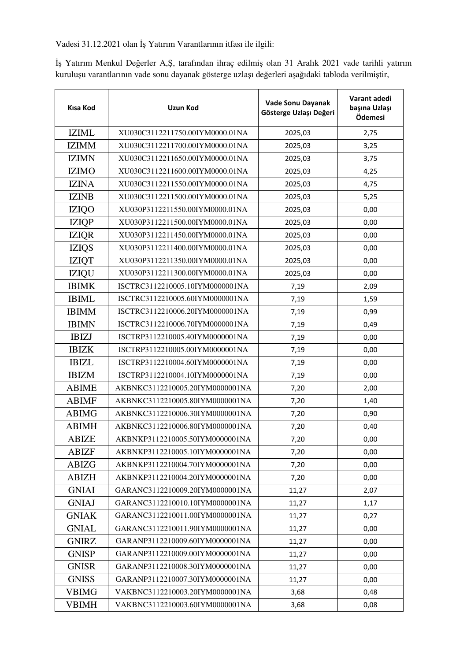Vadesi 31.12.2021 olan İş Yatırım Varantlarının itfası ile ilgili:

İş Yatırım Menkul Değerler A,Ş, tarafından ihraç edilmiş olan 31 Aralık 2021 vade tarihli yatırım kuruluşu varantlarının vade sonu dayanak gösterge uzlaşı değerleri aşağıdaki tabloda verilmiştir,

| Kısa Kod     | <b>Uzun Kod</b>                 | Vade Sonu Dayanak<br>Gösterge Uzlaşı Değeri | Varant adedi<br>başına Uzlaşı<br>Ödemesi |
|--------------|---------------------------------|---------------------------------------------|------------------------------------------|
| <b>IZIML</b> | XU030C3112211750.00IYM0000.01NA | 2025,03                                     | 2,75                                     |
| <b>IZIMM</b> | XU030C3112211700.00IYM0000.01NA | 2025,03                                     | 3,25                                     |
| <b>IZIMN</b> | XU030C3112211650.00IYM0000.01NA | 2025,03                                     | 3,75                                     |
| <b>IZIMO</b> | XU030C3112211600.00IYM0000.01NA | 2025,03                                     | 4,25                                     |
| <b>IZINA</b> | XU030C3112211550.00IYM0000.01NA | 2025,03                                     | 4,75                                     |
| <b>IZINB</b> | XU030C3112211500.00IYM0000.01NA | 2025,03                                     | 5,25                                     |
| <b>IZIQO</b> | XU030P3112211550.00IYM0000.01NA | 2025,03                                     | 0,00                                     |
| <b>IZIQP</b> | XU030P3112211500.00IYM0000.01NA | 2025,03                                     | 0,00                                     |
| <b>IZIQR</b> | XU030P3112211450.00IYM0000.01NA | 2025,03                                     | 0,00                                     |
| <b>IZIQS</b> | XU030P3112211400.00IYM0000.01NA | 2025,03                                     | 0,00                                     |
| <b>IZIQT</b> | XU030P3112211350.00IYM0000.01NA | 2025,03                                     | 0,00                                     |
| <b>IZIQU</b> | XU030P3112211300.00IYM0000.01NA | 2025,03                                     | 0,00                                     |
| <b>IBIMK</b> | ISCTRC3112210005.10IYM0000001NA | 7,19                                        | 2,09                                     |
| <b>IBIML</b> | ISCTRC3112210005.60IYM0000001NA | 7,19                                        | 1,59                                     |
| <b>IBIMM</b> | ISCTRC3112210006.20IYM0000001NA | 7,19                                        | 0,99                                     |
| <b>IBIMN</b> | ISCTRC3112210006.70IYM0000001NA | 7,19                                        | 0,49                                     |
| <b>IBIZJ</b> | ISCTRP3112210005.40IYM0000001NA | 7,19                                        | 0,00                                     |
| <b>IBIZK</b> | ISCTRP3112210005.00IYM0000001NA | 7,19                                        | 0,00                                     |
| <b>IBIZL</b> | ISCTRP3112210004.60IYM0000001NA | 7,19                                        | 0,00                                     |
| <b>IBIZM</b> | ISCTRP3112210004.10IYM0000001NA | 7,19                                        | 0,00                                     |
| <b>ABIME</b> | AKBNKC3112210005.20IYM0000001NA | 7,20                                        | 2,00                                     |
| <b>ABIMF</b> | AKBNKC3112210005.80IYM0000001NA | 7,20                                        | 1,40                                     |
| <b>ABIMG</b> | AKBNKC3112210006.30IYM0000001NA | 7,20                                        | 0,90                                     |
| <b>ABIMH</b> | AKBNKC3112210006.80IYM0000001NA | 7,20                                        | 0,40                                     |
| <b>ABIZE</b> | AKBNKP3112210005.50IYM0000001NA | 7,20                                        | 0,00                                     |
| <b>ABIZF</b> | AKBNKP3112210005.10IYM0000001NA | 7,20                                        | 0,00                                     |
| ABIZG        | AKBNKP3112210004.70IYM0000001NA | 7,20                                        | 0,00                                     |
| <b>ABIZH</b> | AKBNKP3112210004.20IYM0000001NA | 7,20                                        | 0,00                                     |
| <b>GNIAI</b> | GARANC3112210009.20IYM0000001NA | 11,27                                       | 2,07                                     |
| <b>GNIAJ</b> | GARANC3112210010.10IYM0000001NA | 11,27                                       | 1,17                                     |
| <b>GNIAK</b> | GARANC3112210011.00IYM0000001NA | 11,27                                       | 0,27                                     |
| <b>GNIAL</b> | GARANC3112210011.90IYM0000001NA | 11,27                                       | 0,00                                     |
| <b>GNIRZ</b> | GARANP3112210009.60IYM0000001NA | 11,27                                       | 0,00                                     |
| <b>GNISP</b> | GARANP3112210009.00IYM0000001NA | 11,27                                       | 0,00                                     |
| <b>GNISR</b> | GARANP3112210008.30IYM0000001NA | 11,27                                       | 0,00                                     |
| <b>GNISS</b> | GARANP3112210007.30IYM0000001NA | 11,27                                       | 0,00                                     |
| VBIMG        | VAKBNC3112210003.20IYM0000001NA | 3,68                                        | 0,48                                     |
| <b>VBIMH</b> | VAKBNC3112210003.60IYM0000001NA | 3,68                                        | 0,08                                     |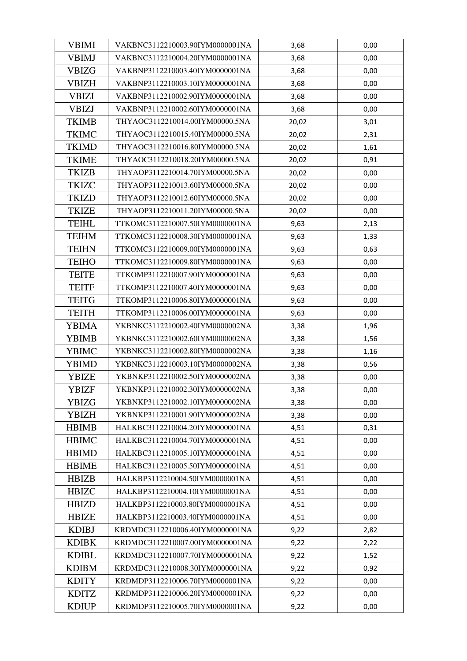| <b>VBIMI</b> | VAKBNC3112210003.90IYM0000001NA | 3,68  | 0,00 |
|--------------|---------------------------------|-------|------|
| VBIMJ        | VAKBNC3112210004.20IYM0000001NA | 3,68  | 0,00 |
| <b>VBIZG</b> | VAKBNP3112210003.40IYM0000001NA | 3,68  | 0,00 |
| <b>VBIZH</b> | VAKBNP3112210003.10IYM0000001NA | 3,68  | 0,00 |
| <b>VBIZI</b> | VAKBNP3112210002.90IYM0000001NA | 3,68  | 0,00 |
| <b>VBIZJ</b> | VAKBNP3112210002.60IYM0000001NA | 3,68  | 0,00 |
| <b>TKIMB</b> | THYAOC3112210014.00IYM00000.5NA | 20,02 | 3,01 |
| <b>TKIMC</b> | THYAOC3112210015.40IYM00000.5NA | 20,02 | 2,31 |
| <b>TKIMD</b> | THYAOC3112210016.80IYM00000.5NA | 20,02 | 1,61 |
| <b>TKIME</b> | THYAOC3112210018.20IYM00000.5NA | 20,02 | 0,91 |
| <b>TKIZB</b> | THYAOP3112210014.70IYM00000.5NA | 20,02 | 0,00 |
| <b>TKIZC</b> | THYAOP3112210013.60IYM00000.5NA | 20,02 | 0,00 |
| <b>TKIZD</b> | THYAOP3112210012.60IYM00000.5NA | 20,02 | 0,00 |
| <b>TKIZE</b> | THYAOP3112210011.20IYM00000.5NA | 20,02 | 0,00 |
| <b>TEIHL</b> | TTKOMC3112210007.50IYM0000001NA | 9,63  | 2,13 |
| <b>TEIHM</b> | TTKOMC3112210008.30IYM0000001NA | 9,63  | 1,33 |
| <b>TEIHN</b> | TTKOMC3112210009.00IYM0000001NA | 9,63  | 0,63 |
| <b>TEIHO</b> | TTKOMC3112210009.80IYM0000001NA | 9,63  | 0,00 |
| <b>TEITE</b> | TTKOMP3112210007.90IYM0000001NA | 9,63  | 0,00 |
| <b>TEITF</b> | TTKOMP3112210007.40IYM0000001NA | 9,63  | 0,00 |
| <b>TEITG</b> | TTKOMP3112210006.80IYM0000001NA | 9,63  | 0,00 |
| <b>TEITH</b> | TTKOMP3112210006.00IYM0000001NA | 9,63  | 0,00 |
| <b>YBIMA</b> | YKBNKC3112210002.40IYM0000002NA | 3,38  | 1,96 |
| <b>YBIMB</b> | YKBNKC3112210002.60IYM0000002NA | 3,38  | 1,56 |
| YBIMC        | YKBNKC3112210002.80IYM0000002NA | 3,38  | 1,16 |
| <b>YBIMD</b> | YKBNKC3112210003.10IYM0000002NA | 3,38  | 0,56 |
| <b>YBIZE</b> | YKBNKP3112210002.50IYM0000002NA | 3,38  | 0,00 |
| <b>YBIZF</b> | YKBNKP3112210002.30IYM0000002NA | 3,38  | 0,00 |
| YBIZG        | YKBNKP3112210002.10IYM0000002NA | 3,38  | 0,00 |
| <b>YBIZH</b> | YKBNKP3112210001.90IYM0000002NA | 3,38  | 0,00 |
| <b>HBIMB</b> | HALKBC3112210004.20IYM0000001NA | 4,51  | 0,31 |
| <b>HBIMC</b> | HALKBC3112210004.70IYM0000001NA | 4,51  | 0,00 |
| <b>HBIMD</b> | HALKBC3112210005.10IYM0000001NA | 4,51  | 0,00 |
| <b>HBIME</b> | HALKBC3112210005.50IYM0000001NA | 4,51  | 0,00 |
| <b>HBIZB</b> | HALKBP3112210004.50IYM0000001NA | 4,51  | 0,00 |
| <b>HBIZC</b> | HALKBP3112210004.10IYM0000001NA | 4,51  | 0,00 |
| <b>HBIZD</b> | HALKBP3112210003.80IYM0000001NA | 4,51  | 0,00 |
| <b>HBIZE</b> | HALKBP3112210003.40IYM0000001NA | 4,51  | 0,00 |
| <b>KDIBJ</b> | KRDMDC3112210006.40IYM0000001NA | 9,22  | 2,82 |
| <b>KDIBK</b> | KRDMDC3112210007.00IYM0000001NA | 9,22  | 2,22 |
| <b>KDIBL</b> | KRDMDC3112210007.70IYM0000001NA | 9,22  | 1,52 |
| <b>KDIBM</b> | KRDMDC3112210008.30IYM0000001NA | 9,22  | 0,92 |
| <b>KDITY</b> | KRDMDP3112210006.70IYM0000001NA | 9,22  | 0,00 |
| <b>KDITZ</b> | KRDMDP3112210006.20IYM0000001NA | 9,22  | 0,00 |
| <b>KDIUP</b> | KRDMDP3112210005.70IYM0000001NA | 9,22  | 0,00 |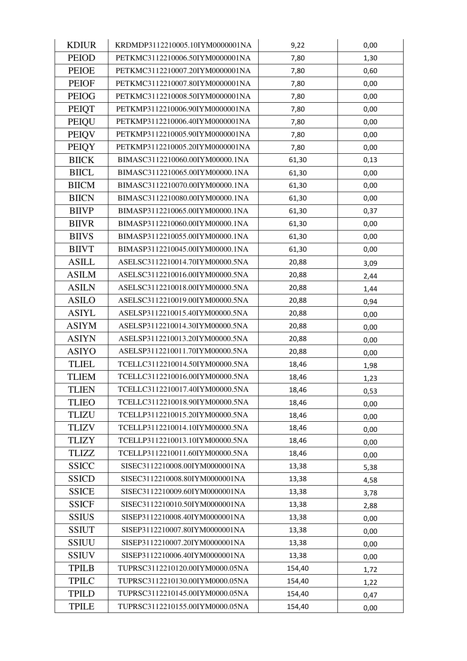| <b>KDIUR</b> | KRDMDP3112210005.10IYM0000001NA | 9,22   | 0,00 |
|--------------|---------------------------------|--------|------|
| <b>PEIOD</b> | PETKMC3112210006.50IYM0000001NA | 7,80   | 1,30 |
| <b>PEIOE</b> | PETKMC3112210007.20IYM0000001NA | 7,80   | 0,60 |
| <b>PEIOF</b> | PETKMC3112210007.80IYM0000001NA | 7,80   | 0,00 |
| <b>PEIOG</b> | PETKMC3112210008.50IYM0000001NA | 7,80   | 0,00 |
| <b>PEIQT</b> | PETKMP3112210006.90IYM0000001NA | 7,80   | 0,00 |
| PEIQU        | PETKMP3112210006.40IYM0000001NA | 7,80   | 0,00 |
| <b>PEIQV</b> | PETKMP3112210005.90IYM0000001NA | 7,80   | 0,00 |
| <b>PEIQY</b> | PETKMP3112210005.20IYM0000001NA | 7,80   | 0,00 |
| <b>BIICK</b> | BIMASC3112210060.00IYM00000.1NA | 61,30  | 0,13 |
| <b>BIICL</b> | BIMASC3112210065.00IYM00000.1NA | 61,30  | 0,00 |
| <b>BIICM</b> | BIMASC3112210070.00IYM00000.1NA | 61,30  | 0,00 |
| <b>BIICN</b> | BIMASC3112210080.00IYM00000.1NA | 61,30  | 0,00 |
| <b>BIIVP</b> | BIMASP3112210065.00IYM00000.1NA | 61,30  | 0,37 |
| <b>BIIVR</b> | BIMASP3112210060.00IYM00000.1NA | 61,30  | 0,00 |
| <b>BIIVS</b> | BIMASP3112210055.00IYM00000.1NA | 61,30  | 0,00 |
| <b>BIIVT</b> | BIMASP3112210045.00IYM00000.1NA | 61,30  | 0,00 |
| <b>ASILL</b> | ASELSC3112210014.70IYM00000.5NA | 20,88  | 3,09 |
| <b>ASILM</b> | ASELSC3112210016.00IYM00000.5NA | 20,88  | 2,44 |
| <b>ASILN</b> | ASELSC3112210018.00IYM00000.5NA | 20,88  | 1,44 |
| <b>ASILO</b> | ASELSC3112210019.00IYM00000.5NA | 20,88  | 0,94 |
| <b>ASIYL</b> | ASELSP3112210015.40IYM00000.5NA | 20,88  | 0,00 |
| <b>ASIYM</b> | ASELSP3112210014.30IYM00000.5NA | 20,88  | 0,00 |
| <b>ASIYN</b> | ASELSP3112210013.20IYM00000.5NA | 20,88  | 0,00 |
| <b>ASIYO</b> | ASELSP3112210011.70IYM00000.5NA | 20,88  | 0,00 |
| <b>TLIEL</b> | TCELLC3112210014.50IYM00000.5NA | 18,46  | 1,98 |
| <b>TLIEM</b> | TCELLC3112210016.00IYM00000.5NA | 18,46  | 1,23 |
| <b>TLIEN</b> | TCELLC3112210017.40IYM00000.5NA | 18,46  | 0,53 |
| <b>TLIEO</b> | TCELLC3112210018.90IYM00000.5NA | 18,46  | 0,00 |
| <b>TLIZU</b> | TCELLP3112210015.20IYM00000.5NA | 18,46  | 0,00 |
| <b>TLIZV</b> | TCELLP3112210014.10IYM00000.5NA | 18,46  | 0,00 |
| <b>TLIZY</b> | TCELLP3112210013.10IYM00000.5NA | 18,46  | 0,00 |
| <b>TLIZZ</b> | TCELLP3112210011.60IYM00000.5NA | 18,46  | 0,00 |
| <b>SSICC</b> | SISEC3112210008.00IYM0000001NA  | 13,38  | 5,38 |
| <b>SSICD</b> | SISEC3112210008.80IYM0000001NA  | 13,38  | 4,58 |
| <b>SSICE</b> | SISEC3112210009.60IYM0000001NA  | 13,38  | 3,78 |
| <b>SSICF</b> | SISEC3112210010.50IYM0000001NA  | 13,38  | 2,88 |
| <b>SSIUS</b> | SISEP3112210008.40IYM0000001NA  | 13,38  | 0,00 |
| <b>SSIUT</b> | SISEP3112210007.80IYM0000001NA  | 13,38  | 0,00 |
| <b>SSIUU</b> | SISEP3112210007.20IYM0000001NA  | 13,38  | 0,00 |
| <b>SSIUV</b> | SISEP3112210006.40IYM0000001NA  | 13,38  | 0,00 |
| <b>TPILB</b> | TUPRSC3112210120.00IYM0000.05NA | 154,40 | 1,72 |
| <b>TPILC</b> | TUPRSC3112210130.00IYM0000.05NA | 154,40 | 1,22 |
| <b>TPILD</b> | TUPRSC3112210145.00IYM0000.05NA | 154,40 | 0,47 |
| <b>TPILE</b> | TUPRSC3112210155.00IYM0000.05NA | 154,40 | 0,00 |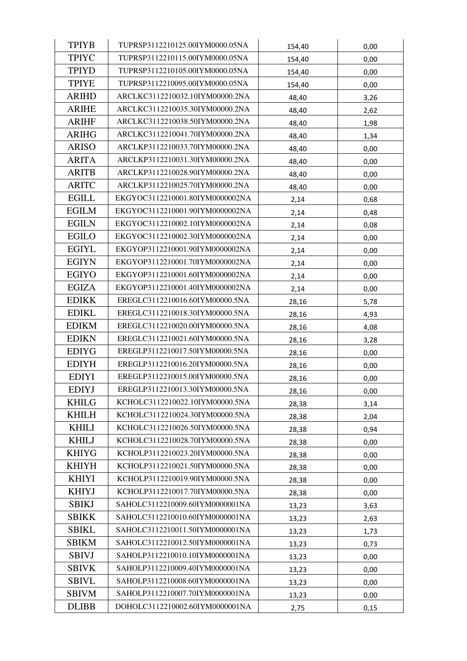| <b>TPIYB</b> | TUPRSP3112210125.00IYM0000.05NA | 154,40 | 0,00 |
|--------------|---------------------------------|--------|------|
| <b>TPIYC</b> | TUPRSP3112210115.00IYM0000.05NA | 154,40 | 0,00 |
| <b>TPIYD</b> | TUPRSP3112210105.00IYM0000.05NA | 154,40 | 0,00 |
| <b>TPIYE</b> | TUPRSP3112210095.00IYM0000.05NA | 154,40 | 0,00 |
| <b>ARIHD</b> | ARCLKC3112210032.10IYM00000.2NA | 48,40  | 3,26 |
| <b>ARIHE</b> | ARCLKC3112210035.30IYM00000.2NA | 48,40  | 2,62 |
| <b>ARIHF</b> | ARCLKC3112210038.50IYM00000.2NA | 48,40  | 1,98 |
| <b>ARIHG</b> | ARCLKC3112210041.70IYM00000.2NA | 48,40  | 1,34 |
| <b>ARISO</b> | ARCLKP3112210033.70IYM00000.2NA | 48,40  | 0,00 |
| <b>ARITA</b> | ARCLKP3112210031.30IYM00000.2NA | 48,40  | 0,00 |
| <b>ARITB</b> | ARCLKP3112210028.90IYM00000.2NA | 48,40  | 0,00 |
| <b>ARITC</b> | ARCLKP3112210025.70IYM00000.2NA | 48,40  | 0,00 |
| <b>EGILL</b> | EKGYOC3112210001.80IYM0000002NA | 2,14   | 0,68 |
| <b>EGILM</b> | EKGYOC3112210001.90IYM0000002NA | 2,14   | 0,48 |
| <b>EGILN</b> | EKGYOC3112210002.10IYM0000002NA | 2,14   | 0,08 |
| <b>EGILO</b> | EKGYOC3112210002.30IYM0000002NA | 2,14   | 0,00 |
| <b>EGIYL</b> | EKGYOP3112210001.90IYM0000002NA | 2,14   | 0,00 |
| <b>EGIYN</b> | EKGYOP3112210001.70IYM0000002NA | 2,14   | 0,00 |
| <b>EGIYO</b> | EKGYOP3112210001.60IYM0000002NA | 2,14   | 0,00 |
| <b>EGIZA</b> | EKGYOP3112210001.40IYM0000002NA | 2,14   | 0,00 |
| <b>EDIKK</b> | EREGLC3112210016.60IYM00000.5NA | 28,16  | 5,78 |
| <b>EDIKL</b> | EREGLC3112210018.30IYM00000.5NA | 28,16  | 4,93 |
| <b>EDIKM</b> | EREGLC3112210020.00IYM00000.5NA | 28,16  | 4,08 |
| <b>EDIKN</b> | EREGLC3112210021.60IYM00000.5NA | 28,16  | 3,28 |
| <b>EDIYG</b> | EREGLP3112210017.50IYM00000.5NA | 28,16  | 0,00 |
| <b>EDIYH</b> | EREGLP3112210016.20IYM00000.5NA | 28,16  | 0,00 |
| <b>EDIYI</b> | EREGLP3112210015.00IYM00000.5NA | 28,16  | 0,00 |
| <b>EDIYJ</b> | EREGLP3112210013.30IYM00000.5NA | 28,16  | 0,00 |
| <b>KHILG</b> | KCHOLC3112210022.10IYM00000.5NA | 28,38  | 3,14 |
| <b>KHILH</b> | KCHOLC3112210024.30IYM00000.5NA | 28,38  | 2,04 |
| <b>KHILI</b> | KCHOLC3112210026.50IYM00000.5NA | 28,38  | 0,94 |
| <b>KHILJ</b> | KCHOLC3112210028.70IYM00000.5NA | 28,38  | 0,00 |
| <b>KHIYG</b> | KCHOLP3112210023.20IYM00000.5NA | 28,38  | 0,00 |
| <b>KHIYH</b> | KCHOLP3112210021.50IYM00000.5NA | 28,38  | 0,00 |
| <b>KHIYI</b> | KCHOLP3112210019.90IYM00000.5NA | 28,38  | 0,00 |
| <b>KHIYJ</b> | KCHOLP3112210017.70IYM00000.5NA | 28,38  | 0,00 |
| <b>SBIKJ</b> | SAHOLC3112210009.60IYM0000001NA | 13,23  | 3,63 |
| <b>SBIKK</b> | SAHOLC3112210010.60IYM0000001NA | 13,23  | 2,63 |
| <b>SBIKL</b> | SAHOLC3112210011.50IYM0000001NA | 13,23  | 1,73 |
| <b>SBIKM</b> | SAHOLC3112210012.50IYM0000001NA | 13,23  | 0,73 |
| <b>SBIVJ</b> | SAHOLP3112210010.10IYM0000001NA | 13,23  | 0,00 |
| <b>SBIVK</b> | SAHOLP3112210009.40IYM0000001NA | 13,23  | 0,00 |
| <b>SBIVL</b> | SAHOLP3112210008.60IYM0000001NA | 13,23  | 0,00 |
| <b>SBIVM</b> | SAHOLP3112210007.70IYM0000001NA | 13,23  | 0,00 |
| <b>DLIBB</b> | DOHOLC3112210002.60IYM0000001NA | 2,75   | 0,15 |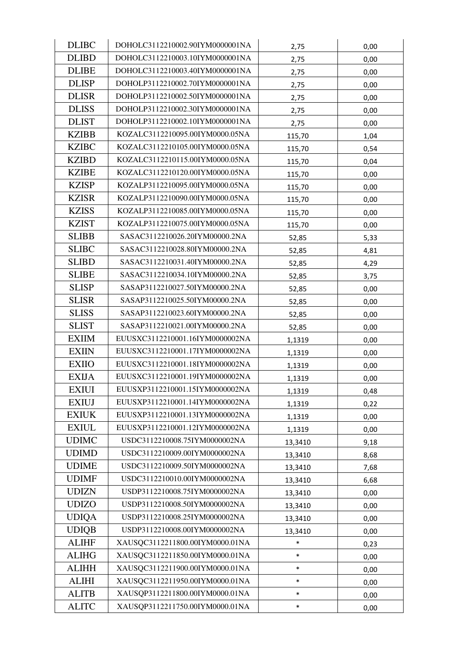| <b>DLIBC</b> | DOHOLC3112210002.90IYM0000001NA | 2,75    | 0,00 |
|--------------|---------------------------------|---------|------|
| <b>DLIBD</b> | DOHOLC3112210003.10IYM0000001NA | 2,75    | 0,00 |
| <b>DLIBE</b> | DOHOLC3112210003.40IYM0000001NA | 2,75    | 0,00 |
| <b>DLISP</b> | DOHOLP3112210002.70IYM0000001NA | 2,75    | 0,00 |
| <b>DLISR</b> | DOHOLP3112210002.50IYM0000001NA | 2,75    | 0,00 |
| <b>DLISS</b> | DOHOLP3112210002.30IYM0000001NA | 2,75    | 0,00 |
| <b>DLIST</b> | DOHOLP3112210002.10IYM0000001NA | 2,75    | 0,00 |
| <b>KZIBB</b> | KOZALC3112210095.00IYM0000.05NA | 115,70  | 1,04 |
| <b>KZIBC</b> | KOZALC3112210105.00IYM0000.05NA | 115,70  | 0,54 |
| <b>KZIBD</b> | KOZALC3112210115.00IYM0000.05NA | 115,70  | 0,04 |
| <b>KZIBE</b> | KOZALC3112210120.00IYM0000.05NA | 115,70  | 0,00 |
| <b>KZISP</b> | KOZALP3112210095.00IYM0000.05NA | 115,70  | 0,00 |
| <b>KZISR</b> | KOZALP3112210090.00IYM0000.05NA | 115,70  | 0,00 |
| <b>KZISS</b> | KOZALP3112210085.00IYM0000.05NA | 115,70  | 0,00 |
| <b>KZIST</b> | KOZALP3112210075.00IYM0000.05NA | 115,70  | 0,00 |
| <b>SLIBB</b> | SASAC3112210026.20IYM00000.2NA  | 52,85   | 5,33 |
| <b>SLIBC</b> | SASAC3112210028.80IYM00000.2NA  | 52,85   | 4,81 |
| <b>SLIBD</b> | SASAC3112210031.40IYM00000.2NA  | 52,85   | 4,29 |
| <b>SLIBE</b> | SASAC3112210034.10IYM00000.2NA  | 52,85   | 3,75 |
| <b>SLISP</b> | SASAP3112210027.50IYM00000.2NA  | 52,85   | 0,00 |
| <b>SLISR</b> | SASAP3112210025.50IYM00000.2NA  | 52,85   | 0,00 |
| <b>SLISS</b> | SASAP3112210023.60IYM00000.2NA  | 52,85   | 0,00 |
| <b>SLIST</b> | SASAP3112210021.00IYM00000.2NA  | 52,85   | 0,00 |
| <b>EXIIM</b> | EUUSXC3112210001.16IYM0000002NA | 1,1319  | 0,00 |
| <b>EXIIN</b> | EUUSXC3112210001.17IYM0000002NA | 1,1319  | 0,00 |
| <b>EXIIO</b> | EUUSXC3112210001.18IYM0000002NA | 1,1319  | 0,00 |
| <b>EXIJA</b> | EUUSXC3112210001.19IYM0000002NA | 1,1319  | 0,00 |
| <b>EXIUI</b> | EUUSXP3112210001.15IYM0000002NA | 1,1319  | 0,48 |
| <b>EXIUJ</b> | EUUSXP3112210001.14IYM0000002NA | 1,1319  | 0,22 |
| <b>EXIUK</b> | EUUSXP3112210001.13IYM0000002NA | 1,1319  | 0,00 |
| <b>EXIUL</b> | EUUSXP3112210001.12IYM0000002NA | 1,1319  | 0,00 |
| <b>UDIMC</b> | USDC3112210008.75IYM0000002NA   | 13,3410 | 9,18 |
| <b>UDIMD</b> | USDC3112210009.00IYM0000002NA   | 13,3410 | 8,68 |
| <b>UDIME</b> | USDC3112210009.50IYM0000002NA   | 13,3410 | 7,68 |
| <b>UDIMF</b> | USDC3112210010.00IYM0000002NA   | 13,3410 | 6,68 |
| <b>UDIZN</b> | USDP3112210008.75IYM0000002NA   | 13,3410 | 0,00 |
| <b>UDIZO</b> | USDP3112210008.50IYM0000002NA   | 13,3410 | 0,00 |
| <b>UDIQA</b> | USDP3112210008.25IYM0000002NA   | 13,3410 | 0,00 |
| <b>UDIQB</b> | USDP3112210008.00IYM0000002NA   | 13,3410 | 0,00 |
| <b>ALIHF</b> | XAUSQC3112211800.00IYM0000.01NA | $\ast$  | 0,23 |
| <b>ALIHG</b> | XAUSQC3112211850.00IYM0000.01NA | $\ast$  | 0,00 |
| <b>ALIHH</b> | XAUSQC3112211900.00IYM0000.01NA | $\ast$  | 0,00 |
| <b>ALIHI</b> | XAUSQC3112211950.00IYM0000.01NA | $\ast$  | 0,00 |
| <b>ALITB</b> | XAUSQP3112211800.00IYM0000.01NA | $\ast$  | 0,00 |
| <b>ALITC</b> | XAUSQP3112211750.00IYM0000.01NA | $\ast$  | 0,00 |